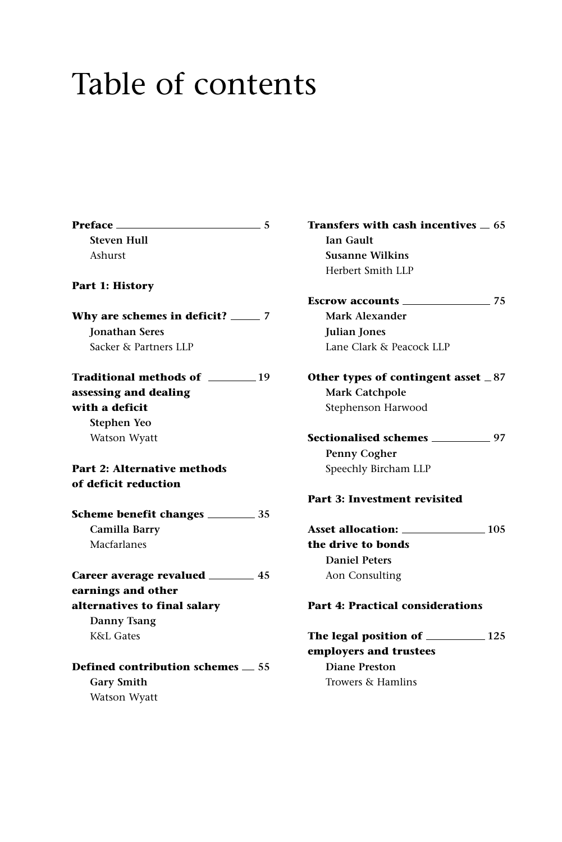## Table of contents

**Preface 5 Steven Hull** Ashurst **Part 1: History Why are schemes in deficit? 7 Jonathan Seres** Sacker & Partners LLP **Traditional methods of 19 assessing and dealing with a deficit Stephen Yeo** Watson Wyatt **Part 2: Alternative methods of deficit reduction Scheme benefit changes 35 Camilla Barry** Macfarlanes **Career average revalued 45 earnings and other alternatives to final salary Danny Tsang** K&L Gates **Defined contribution schemes 55 Gary Smith** Watson Wyatt

**Transfers with cash incentives 65 Ian Gault Susanne Wilkins** Herbert Smith LLP

**Escrow accounts 75 Mark Alexander Julian Jones** Lane Clark & Peacock LLP

**Other types of contingent asset 87 Mark Catchpole** Stephenson Harwood

**Sectionalised schemes 97 Penny Cogher** Speechly Bircham LLP

## **Part 3: Investment revisited**

**Asset allocation: 105 the drive to bonds Daniel Peters** Aon Consulting

## **Part 4: Practical considerations**

**The legal position of 125 employers and trustees Diane Preston** Trowers & Hamlins